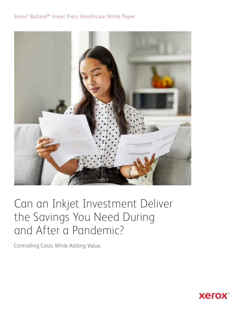## Xerox<sup>®</sup> Baltoro<sup>™</sup> Inkjet Press Healthcare White Paper



## Can an Inkjet Investment Deliver the Savings You Need During and After a Pandemic?

Controlling Costs While Adding Value.

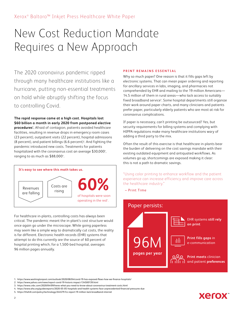# New Cost Reduction Mandate Requires a New Approach

The 2020 coronavirus pandemic ripped through many healthcare institutions like a hurricane, putting non-essential treatments on hold while abruptly shifting the focus to controlling Covid.

**The rapid response came at a high cost. Hospitals lost \$60 billion a month in early 2020 from postponed elective procedures1 .** Afraid of contagion, patients avoided healthcare facilities, resulting in revenue drops in emergency room cases (23 percent), outpatient visits (22 percent), hospital admissions (8 percent), and patient billings (6.6 percent)<sup>2</sup>. And fighting the pandemic introduced new costs. Treatments for patients hospitalized with the coronavirus cost an average  $$30,000^3$ , ranging to as much as \$88,000<sup>4</sup>. .



For healthcare in-plants, controlling costs has always been critical. The pandemic meant the in-plant's cost structure would once again go under the microscope. While going paperless may seem like a simple way to dramatically cut costs, the reality is far different. Electronic health records (EHR) systems that attempt to do this currently are the source of 60 percent of hospital printing which, for a 1,500-bed hospital, averages 96 million pages annually.

### **PRINT REMAINS ESSENTIAL**

Why so much paper? One reason is that it fills gaps left by electronic systems. That can mean paper ordering and reporting for ancillary services in labs, imaging, and pharmacies not comprehended by EHR and mailing to the 19 million Americans— 14.5 million of them in rural areas—who lack access to suitably fixed broadband service<sup>s</sup>. Some hospital departments still organize their work around paper charts, and many clinicians and patients prefer paper, particularly elderly patients who are most at risk for coronavirus complications.

If paper is necessary, can't printing be outsourced? Yes, but security requirements for billing systems and complying with HIPPA regulations make many healthcare institutions wary of adding a third party to the mix.

Often the result of this exercise is that healthcare in-plants bear the burden of delivering on the cost savings mandate with their existing outdated equipment and antiquated workflows. As volumes go up, shortcomings are exposed making it clear: this is not a path to dramatic savings.

"Using color printing to enhance workflow and the patient experience can increase efficiency and improve care across the healthcare industry."

– Print Time



1. https://www.washingtonpost.com/outlook/2020/08/04/covid-19-has-exposed-flaws-how-we-finance-hospitals/

2. https://www.yahoo.com/news/report-covid-19-historic-impact-134500139.html

- 4. https://www.aha.org/guidesreports/2020-05-05-hospitals-and-health-systems-face-unprecedented-financial-pressures-due
- 5. https://thehill.com/policy/technology/244579-fcc-report-19-million-lack-broadband-internet

## **Xerox**

<sup>3.</sup> https://www.cnbc.com/2020/04/09/heres-what-you-need-to-know-about-coronavirus-treatment-costs.html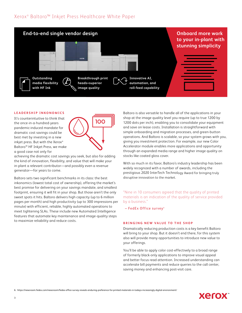## Xerox<sup>®</sup> Baltoro<sup>™</sup> Inkjet Press Healthcare White Paper



### **LEADERSHIP INKONOMICS**

It's counterintuitive to think that the once-in-a-hundred-years pandemic-induced mandate for dramatic cost savings could be best met by investing in a new inkjet press. But with the Xerox® Baltoro™ HF Inkjet Press, we make a good case not only for



achieving the dramatic cost savings you seek, but also for adding the kind of innovation, flexibility, and value that will make your in-plant a relevant contributor—and possibly even a revenue generator—for years to come.

Baltoro sets two significant benchmarks in its class: the best inkonomics (lowest total cost of ownership), offering the market's best promise for delivering on your savings mandate, and smallest footprint, ensuring it will fit in your shop. But those aren't the only sweet spots it hits. Baltoro delivers high capacity (up to 6 million pages per month) and high productivity (up to 300 impressions per minute) with efficient, reliable, highly automated operations to meet tightening SLAs. These include new Automated Intelligence features that automate key maintenance and image-quality steps to maximize reliability and reduce costs.

Baltoro is also versatile to handle all of the applications in your shop at the image quality level you require (up to true 1200 by 1200 dots per inch), enabling you to consolidate your equipment and save on lease costs. Installation is straightforward with simple onboarding and migration processes, and green-button operations. And Baltoro is scalable, so your system grows with you, giving you investment protection. For example, our new Color Accelerator module enables more applications and opportunity through an expanded media range and higher image quality on stocks like coated gloss cover.

With so much in its favor, Baltoro's industry leadership has been widely recognized with a number of awards, including the prestigious 2020 InterTech Technology Award for bringing truly disruptive innovation to the market.

"Nine in 10 consumers agreed that the quality of printed materials is an indication of the quality of service provided by a business."

– FedEx Office survey <sup>6</sup>

### **BRINGING NEW VALUE TO THE SHOP**

Dramatically reducing production costs is a key benefit Baltoro will bring to your shop. But it doesn't end there, for this system also will provide many opportunities to introduce new value to your offerings.

You'll be able to apply color cost-effectively to a broad range of formerly black-only applications to improve visual appeal and better focus read attention. Increased understanding can accelerate bill payments and reduce queries to the call center, saving money and enhancing post-visit care.

6. https://newsroom.fedex.com/newsroom/fedex-office-survey-reveals-enduring-preference-for-printed-materials-in-todays-increasingly-digital-environment/